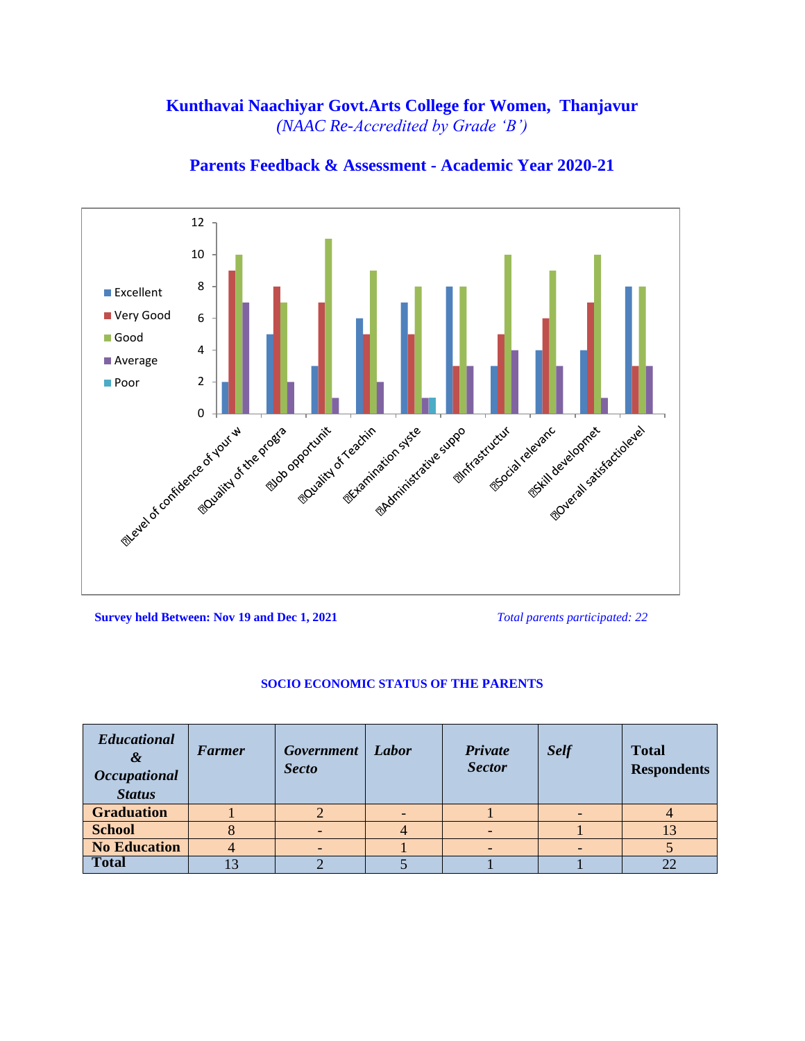### **Kunthavai Naachiyar Govt.Arts College for Women, Thanjavur** *(NAAC Re-Accredited by Grade 'B')*



**Parents Feedback & Assessment - Academic Year 2020-21**

**Survey held Between: Nov 19 and Dec 1, 2021** *Total parents participated: 22*

#### **SOCIO ECONOMIC STATUS OF THE PARENTS**

| <b>Educational</b><br>&<br><b>Occupational</b><br><b>Status</b> | <b>Farmer</b> | Government<br><b>Secto</b> | Labor | Private<br><b>Sector</b> | <b>Self</b> | <b>Total</b><br><b>Respondents</b> |
|-----------------------------------------------------------------|---------------|----------------------------|-------|--------------------------|-------------|------------------------------------|
| <b>Graduation</b>                                               |               |                            |       |                          |             |                                    |
| <b>School</b>                                                   |               |                            |       |                          |             |                                    |
| <b>No Education</b>                                             |               |                            |       |                          |             |                                    |
| <b>Total</b>                                                    |               |                            |       |                          |             |                                    |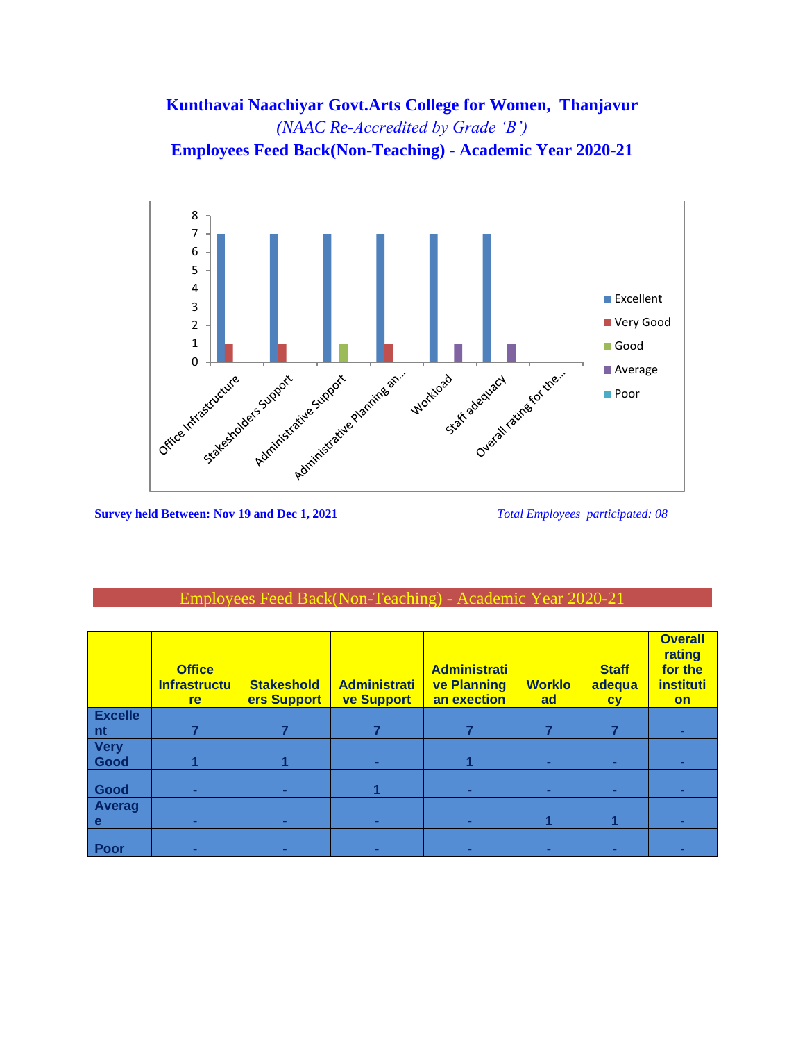# Kunthavai Naachiyar Govt.Arts College for Women, Thanjavur (NAAC Re-Accredited by Grade 'B') **Employees Feed Back(Non-Teaching) - Academic Year 2020-21**



**Survey held Between: Nov 19 and Dec 1, 2021** 

Total Employees participated: 08

#### Employees Feed Back(Non-Teaching) - Academ

|                     | <b>Office</b><br><b>Infrastructu</b><br>re | <b>Stakeshold</b><br>ers Support | <b>Administrati</b><br><b>ve Support</b> | <b>Administrati</b><br><b>ve Planning</b><br>an exection | <b>Worklo</b><br>ad | <b>Staff</b><br>adequa<br><b>CV</b> | <b>Overall</b><br>rating<br>for the<br>instituti<br><b>on</b> |
|---------------------|--------------------------------------------|----------------------------------|------------------------------------------|----------------------------------------------------------|---------------------|-------------------------------------|---------------------------------------------------------------|
| <b>Excelle</b>      |                                            |                                  |                                          |                                                          |                     |                                     |                                                               |
| n <sub>t</sub>      |                                            |                                  |                                          |                                                          |                     | 7                                   |                                                               |
| <b>Very</b><br>Good |                                            |                                  |                                          |                                                          |                     |                                     |                                                               |
|                     |                                            |                                  | ۰.                                       |                                                          |                     | ۰                                   |                                                               |
| Good                | ۰                                          | ٠                                |                                          | ۰                                                        |                     | ۰                                   |                                                               |
| <b>Averag</b>       |                                            |                                  |                                          |                                                          |                     |                                     |                                                               |
| e                   | ۰                                          | ۰                                | ٠                                        | ۰                                                        |                     |                                     |                                                               |
| Poor                |                                            |                                  |                                          |                                                          |                     |                                     |                                                               |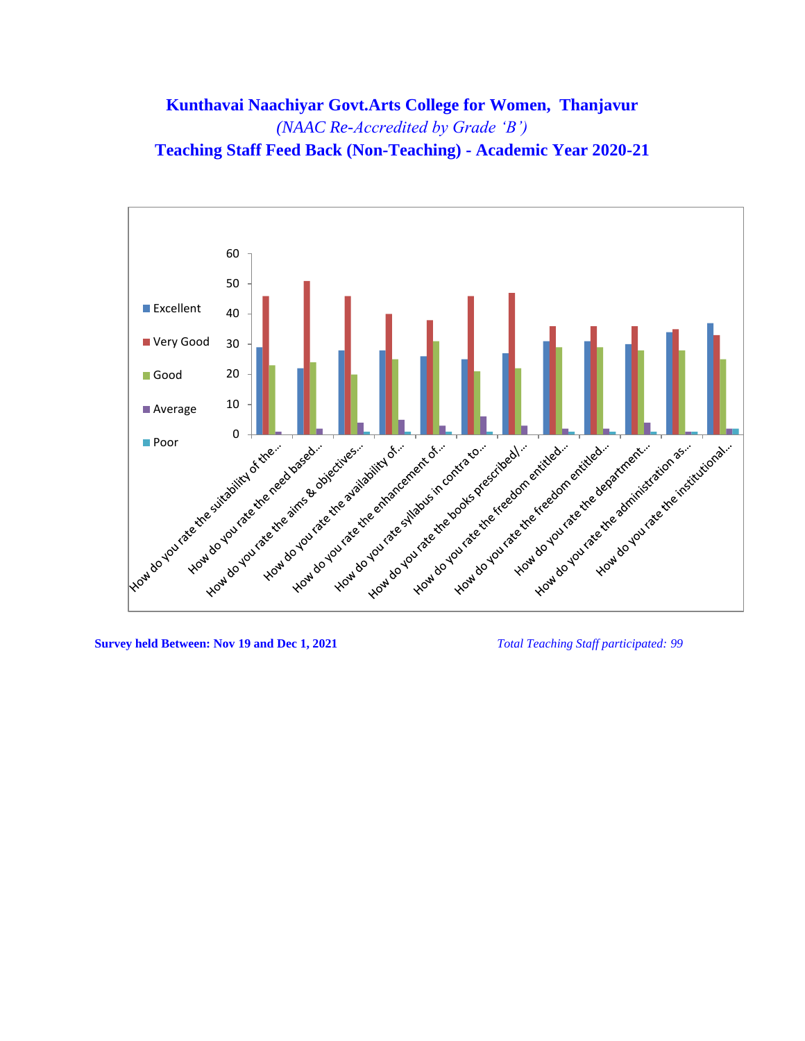# **Kunthavai Naachiyar Govt.Arts College for Women, Thanjavur** *(NAAC Re-Accredited by Grade 'B')* **Teaching Staff Feed Back (Non-Teaching) - Academic Year 2020-21**



**Survey held Between: Nov 19 and Dec 1, 2021** *Total Teaching Staff participated: 99*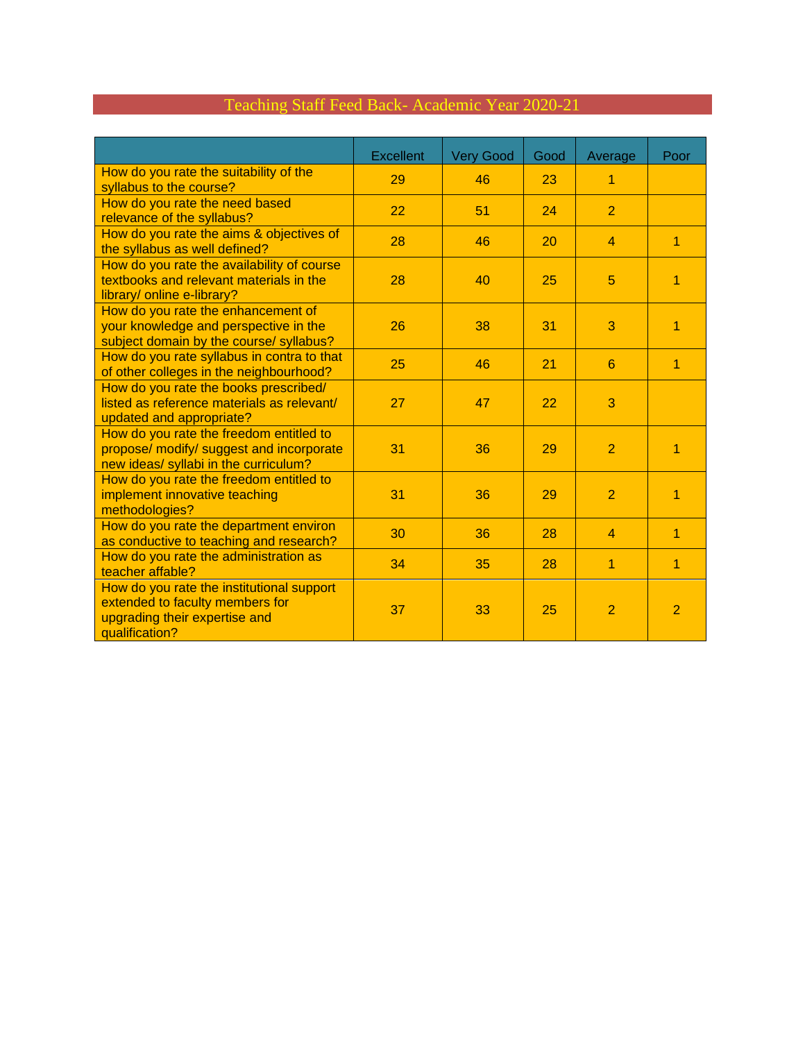# Teaching Staff Feed Back- Academic Year 2020-21

|                                                                                                                                 | <b>Excellent</b> | <b>Very Good</b> | Good | Average        | Poor           |
|---------------------------------------------------------------------------------------------------------------------------------|------------------|------------------|------|----------------|----------------|
| How do you rate the suitability of the<br>syllabus to the course?                                                               | 29               | 46               | 23   | 1              |                |
| How do you rate the need based<br>relevance of the syllabus?                                                                    | 22               | 51               | 24   | $\overline{2}$ |                |
| How do you rate the aims & objectives of<br>the syllabus as well defined?                                                       | 28               | 46               | 20   | $\overline{4}$ | 1              |
| How do you rate the availability of course<br>textbooks and relevant materials in the<br>library/ online e-library?             | 28               | 40               | 25   | 5              | 1              |
| How do you rate the enhancement of<br>your knowledge and perspective in the<br>subject domain by the course/ syllabus?          | 26               | 38               | 31   | 3              | 1              |
| How do you rate syllabus in contra to that<br>of other colleges in the neighbourhood?                                           | 25               | 46               | 21   | 6              | 1              |
| How do you rate the books prescribed/<br>listed as reference materials as relevant/<br>updated and appropriate?                 | 27               | 47               | 22   | 3              |                |
| How do you rate the freedom entitled to<br>propose/ modify/ suggest and incorporate<br>new ideas/ syllabi in the curriculum?    | 31               | 36               | 29   | $\overline{2}$ | 1              |
| How do you rate the freedom entitled to<br>implement innovative teaching<br>methodologies?                                      | 31               | 36               | 29   | $\overline{2}$ | 1              |
| How do you rate the department environ<br>as conductive to teaching and research?                                               | 30               | 36               | 28   | $\overline{4}$ | 1              |
| How do you rate the administration as<br>teacher affable?                                                                       | 34               | 35               | 28   | $\overline{1}$ | 1              |
| How do you rate the institutional support<br>extended to faculty members for<br>upgrading their expertise and<br>qualification? | 37               | 33               | 25   | $\overline{2}$ | $\overline{2}$ |